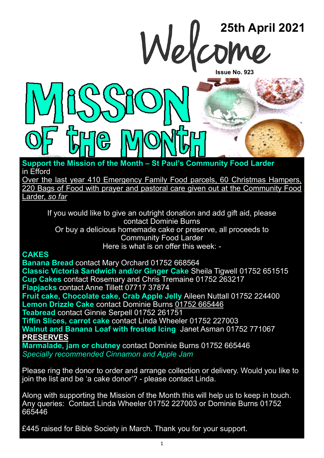

**Support the Mission of the Month – St Paul's Community Food Larder**  in Efford

Over the last year 410 Emergency Family Food parcels, 60 Christmas Hampers, 220 Bags of Food with prayer and pastoral care given out at the Community Food Larder, *so far*

If you would like to give an outright donation and add gift aid, please contact Dominie Burns

Or buy a delicious homemade cake or preserve, all proceeds to Community Food Larder Here is what is on offer this week: -

#### **CAKES**

**Banana Bread** contact Mary Orchard 01752 668564 **Classic Victoria Sandwich and/or Ginger Cake** Sheila Tigwell 01752 651515 **Cup Cakes** contact Rosemary and Chris Tremaine 01752 263217 **Flapjacks** contact Anne Tillett 07717 37874 **Fruit cake, Chocolate cake, Crab Apple Jelly** Aileen Nuttall 01752 224400 **Lemon Drizzle Cake** contact Dominie Burns 01752 665446 **Teabread** contact Ginnie Serpell 01752 261751 **Tiffin Slices, carrot cake** contact Linda Wheeler 01752 227003 **Walnut and Banana Loaf with frosted Icing** Janet Asman 01752 771067 **PRESERVES Marmalade, jam or chutney** contact Dominie Burns 01752 665446 *Specially recommended Cinnamon and Apple Jam*

Please ring the donor to order and arrange collection or delivery. Would you like to join the list and be 'a cake donor'? - please contact Linda.

Along with supporting the Mission of the Month this will help us to keep in touch. Any queries: Contact Linda Wheeler 01752 227003 or Dominie Burns 01752 665446

£445 raised for Bible Society in March. Thank you for your support.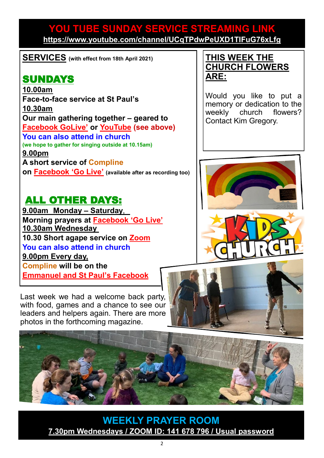#### **YOU TUBE SUNDAY SERVICE STREAMING LINK <https://www.youtube.com/channel/UCqTPdwPeUXD1TIFuG76xLfg>**

**SERVICES (with effect from 18th April 2021)**

## SUNDAYS

**10.00am Face-to-face service at St Paul's 10.30am Our main gathering together – geared to [Facebook GoLive](https://www.facebook.com/emmanuelwithstpauls/)' or [YouTube](https://www.youtube.com/channel/UCqTPdwPeUXD1TIFuG76xLfg) (see above) You can also attend in church (we hope to gather for singing outside at 10.15am) 9.00pm A short service of [Compline](https://www.emmanuelplymouth.co.uk/Publisher/File.aspx?ID=259665) on [Facebook](https://www.facebook.com/emmanuelwithstpauls/) 'Go Live' (available after as recording too)**

### ALL OTHER DAYS:

**9.00am Monday – Saturday**, **Morning prayers at [Facebook](https://www.facebook.com/emmanuelwithstpauls/) 'Go Live' 10.30am Wednesday 10.30 Short agape service on [Zoom](https://us02web.zoom.us/j/87669471222?pwd=amNNVGJ4QmtIeFhlTlFmRTRTV29ndz09) You can also attend in church 9.00pm Every day, [Compline](https://www.emmanuelplymouth.co.uk/Publisher/File.aspx?ID=259665) will be on the [Emmanuel and St Paul](https://www.facebook.com/emmanuelwithstpauls/)'s Facebook** 

Last week we had a welcome back party, with food, games and a chance to see our leaders and helpers again. There are more photos in the forthcoming magazine.

#### **THIS WEEK THE CHURCH FLOWERS ARE:**

Would you like to put a memory or dedication to the weekly church flowers? Contact Kim Gregory.







**WEEKLY PRAYER ROOM [7.30pm Wednesdays / ZOOM ID: 141 678 796 / Usual password](https://us04web.zoom.us/j/141678796?pwd=VERURTVtcWQzbkZvdXFRMnJpKzg3dz09)**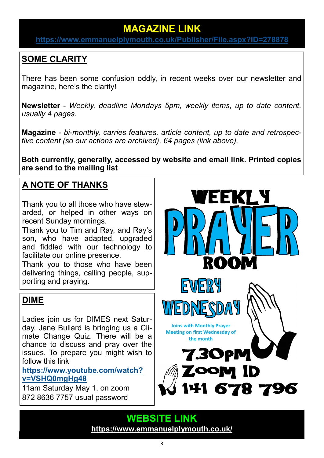### **MAGAZINE LINK**

**<https://www.emmanuelplymouth.co.uk/Publisher/File.aspx?ID=278878>**

### **SOME CLARITY**

There has been some confusion oddly, in recent weeks over our newsletter and magazine, here's the clarity!

**Newsletter** - *Weekly, deadline Mondays 5pm, weekly items, up to date content, usually 4 pages.* 

**Magazine** - *bi-monthly, carries features, article content, up to date and retrospective content (so our actions are archived). 64 pages (link above).*

**Both currently, generally, accessed by website and email link. Printed copies are send to the mailing list**

### **A NOTE OF THANKS**

Thank you to all those who have stewarded, or helped in other ways on recent Sunday mornings.

Thank you to Tim and Ray, and Ray's son, who have adapted, upgraded and fiddled with our technology to facilitate our online presence.

Thank you to those who have been delivering things, calling people, supporting and praying.

#### **DIME**

Ladies join us for DIMES next Saturday. Jane Bullard is bringing us a Climate Change Quiz. There will be a chance to discuss and pray over the issues. To prepare you might wish to follow this link

**[https://www.youtube.com/watch?](https://www.youtube.com/watch?v=VSHQ0mgHg48) [v=VSHQ0mgHg48](https://www.youtube.com/watch?v=VSHQ0mgHg48)**

11am Saturday May 1, on zoom 872 8636 7757 usual password



**WEBSITE LINK <https://www.emmanuelplymouth.co.uk/>**